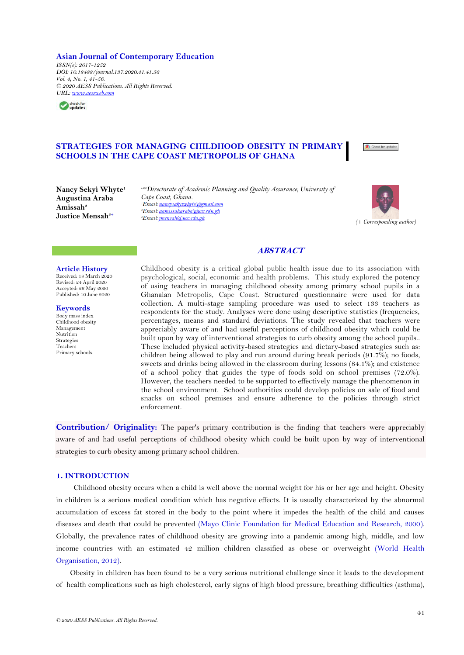## **Asian Journal of Contemporary Education**

*ISSN(e): 2617-1252 DOI: 10.18488/journal.137.2020.41.41.56 Vol. 4, No. 1, 41-56. © 2020 AESS Publications. All Rights Reserved. URL: [www.aessweb.com](http://www.aessweb.com/)*



# **STRATEGIES FOR MANAGING CHILDHOOD OBESITY IN PRIMARY SCHOOLS IN THE CAPE COAST METROPOLIS OF GHANA**

Check for updates

**Nancy Sekyi Whyte<sup>1</sup> Augustina Araba Amissah<sup>2</sup> Justice Mensah3+**

*1,2,3Directorate of Academic Planning and Quality Assurance, University of Cape Coast, Ghana.* <sup>2</sup>Email: *aamissaharaba@ucc.edu.gh* <sup>3</sup>Email: jmensah@ucc.edu.gh



*(+ Corresponding author)*

# **ABSTRACT**

#### **Article History**

Received: 18 March 2020 Revised: 24 April 2020 Accepted: 26 May 2020 Published: 10 June 2020

**Keywords** Body mass index Childhood obesity Management Nutrition Strategies Teachers Primary schools.

Childhood obesity is a critical global public health issue due to its association with psychological, social, economic and health problems. This study explored the potency of using teachers in managing childhood obesity among primary school pupils in a Ghanaian Metropolis, Cape Coast. Structured questionnaire were used for data collection. A multi-stage sampling procedure was used to select 133 teachers as respondents for the study. Analyses were done using descriptive statistics (frequencies, percentages, means and standard deviations. The study revealed that teachers were appreciably aware of and had useful perceptions of childhood obesity which could be built upon by way of interventional strategies to curb obesity among the school pupils.. These included physical activity-based strategies and dietary-based strategies such as: children being allowed to play and run around during break periods (91.7%); no foods, sweets and drinks being allowed in the classroom during lessons (84.1%); and existence of a school policy that guides the type of foods sold on school premises (72.0%). However, the teachers needed to be supported to effectively manage the phenomenon in the school environment. School authorities could develop policies on sale of food and snacks on school premises and ensure adherence to the policies through strict enforcement.

**Contribution/ Originality:** The paper's primary contribution is the finding that teachers were appreciably aware of and had useful perceptions of childhood obesity which could be built upon by way of interventional strategies to curb obesity among primary school children.

## **1. INTRODUCTION**

 Childhood obesity occurs when a child is well above the normal weight for his or her age and height. Obesity in children is a serious medical condition which has negative effects. It is usually characterized by the abnormal accumulation of excess fat stored in the body to the point where it impedes the health of the child and causes diseases and death that could be prevented [\(Mayo Clinic Foundation for Medical Education and Research, 2000\)](#page-14-0). Globally, the prevalence rates of childhood obesity are growing into a pandemic among high, middle, and low income countries with an estimated 42 million children classified as obese or overweight [\(World Health](#page-15-0)  [Organisation, 2012\)](#page-15-0).

Obesity in children has been found to be a very serious nutritional challenge since it leads to the development of health complications such as high cholesterol, early signs of high blood pressure, breathing difficulties (asthma),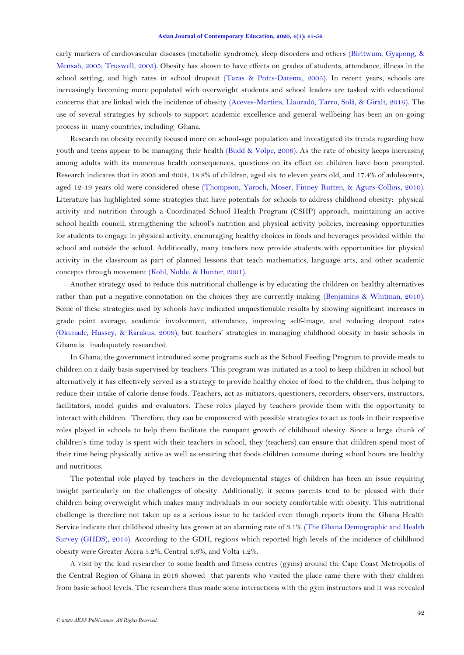early markers of cardiovascular diseases (metabolic syndrome), sleep disorders and others [\(Biritwum, Gyapong, &](#page-13-0)  [Mensah, 2005;](#page-13-0) [Truswell, 2003\)](#page-15-1). Obesity has shown to have effects on grades of students, attendance, illness in the school setting, and high rates in school dropout [\(Taras & Potts-Datema, 2005\)](#page-15-2). In recent years, schools are increasingly becoming more populated with overweight students and school leaders are tasked with educational concerns that are linked with the incidence of obesity [\(Aceves-Martins, Llauradó, Tarro, Solà, & Giralt, 2016\)](#page-13-1). The use of several strategies by schools to support academic excellence and general wellbeing has been an on-going process in many countries, including Ghana.

Research on obesity recently focused more on school-age population and investigated its trends regarding how youth and teens appear to be managing their health [\(Budd & Volpe, 2006\)](#page-14-1). As the rate of obesity keeps increasing among adults with its numerous health consequences, questions on its effect on children have been prompted. Research indicates that in 2003 and 2004, 18.8% of children, aged six to eleven years old, and 17.4% of adolescents, aged 12-19 years old were considered obese [\(Thompson, Yaroch, Moser, Finney Rutten, & Agurs-Collins, 2010\)](#page-15-3). Literature has highlighted some strategies that have potentials for schools to address childhood obesity: physical activity and nutrition through a Coordinated School Health Program (CSHP) approach, maintaining an active school health council, strengthening the school"s nutrition and physical activity policies, increasing opportunities for students to engage in physical activity, encouraging healthy choices in foods and beverages provided within the school and outside the school. Additionally, many teachers now provide students with opportunities for physical activity in the classroom as part of planned lessons that teach mathematics, language arts, and other academic concepts through movement [\(Kohl, Noble, & Hunter, 2001\)](#page-14-2).

Another strategy used to reduce this nutritional challenge is by educating the children on healthy alternatives rather than put a negative connotation on the choices they are currently making [\(Benjamins & Whitman, 2010\)](#page-13-2). Some of these strategies used by schools have indicated unquestionable results by showing significant increases in grade point average, academic involvement, attendance, improving self-image, and reducing dropout rates [\(Okunade, Hussey, & Karakus, 2009\)](#page-15-4), but teachers" strategies in managing childhood obesity in basic schools in Ghana is inadequately researched.

In Ghana, the government introduced some programs such as the School Feeding Program to provide meals to children on a daily basis supervised by teachers. This program was initiated as a tool to keep children in school but alternatively it has effectively served as a strategy to provide healthy choice of food to the children, thus helping to reduce their intake of calorie dense foods. Teachers, act as initiators, questioners, recorders, observers, instructors, facilitators, model guides and evaluators. These roles played by teachers provide them with the opportunity to interact with children. Therefore, they can be empowered with possible strategies to act as tools in their respective roles played in schools to help them facilitate the rampant growth of childhood obesity. Since a large chunk of children"s time today is spent with their teachers in school, they (teachers) can ensure that children spend most of their time being physically active as well as ensuring that foods children consume during school hours are healthy and nutritious.

The potential role played by teachers in the developmental stages of children has been an issue requiring insight particularly on the challenges of obesity. Additionally, it seems parents tend to be pleased with their children being overweight which makes many individuals in our society comfortable with obesity. This nutritional challenge is therefore not taken up as a serious issue to be tackled even though reports from the Ghana Health Service indicate that childhood obesity has grown at an alarming rate of 3.1% [\(The Ghana Demographic and Health](#page-15-5)  [Survey \(GHDS\), 2014\)](#page-15-5). According to the GDH, regions which reported high levels of the incidence of childhood obesity were Greater Accra 5.2%, Central 4.6%, and Volta 4.2%.

A visit by the lead researcher to some health and fitness centres (gyms) around the Cape Coast Metropolis of the Central Region of Ghana in 2016 showed that parents who visited the place came there with their children from basic school levels. The researchers thus made some interactions with the gym instructors and it was revealed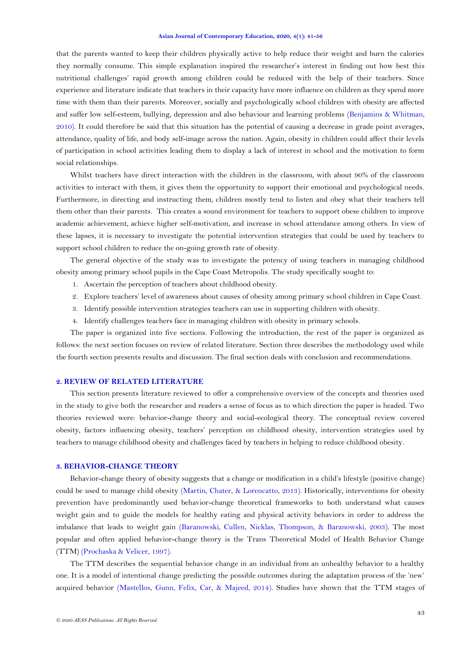that the parents wanted to keep their children physically active to help reduce their weight and burn the calories they normally consume. This simple explanation inspired the researcher"s interest in finding out how best this nutritional challenges" rapid growth among children could be reduced with the help of their teachers. Since experience and literature indicate that teachers in their capacity have more influence on children as they spend more time with them than their parents. Moreover, socially and psychologically school children with obesity are affected and suffer low self-esteem, bullying, depression and also behaviour and learning problems [\(Benjamins & Whitman,](#page-13-2)  [2010\)](#page-13-2). It could therefore be said that this situation has the potential of causing a decrease in grade point averages, attendance, quality of life, and body self-image across the nation. Again, obesity in children could affect their levels of participation in school activities leading them to display a lack of interest in school and the motivation to form social relationships.

Whilst teachers have direct interaction with the children in the classroom, with about 90% of the classroom activities to interact with them, it gives them the opportunity to support their emotional and psychological needs. Furthermore, in directing and instructing them, children mostly tend to listen and obey what their teachers tell them other than their parents. This creates a sound environment for teachers to support obese children to improve academic achievement, achieve higher self-motivation, and increase in school attendance among others. In view of these lapses, it is necessary to investigate the potential intervention strategies that could be used by teachers to support school children to reduce the on-going growth rate of obesity.

The general objective of the study was to investigate the potency of using teachers in managing childhood obesity among primary school pupils in the Cape Coast Metropolis. The study specifically sought to:

- 1. Ascertain the perception of teachers about childhood obesity.
- 2. Explore teachers" level of awareness about causes of obesity among primary school children in Cape Coast.
- 3. Identify possible intervention strategies teachers can use in supporting children with obesity.
- 4. Identify challenges teachers face in managing children with obesity in primary schools.

The paper is organized into five sections. Following the introduction, the rest of the paper is organized as follows: the next section focuses on review of related literature. Section three describes the methodology used while the fourth section presents results and discussion. The final section deals with conclusion and recommendations.

## **2. REVIEW OF RELATED LITERATURE**

This section presents literature reviewed to offer a comprehensive overview of the concepts and theories used in the study to give both the researcher and readers a sense of focus as to which direction the paper is headed. Two theories reviewed were: behavior-change theory and social-ecological theory. The conceptual review covered obesity, factors influencing obesity, teachers" perception on childhood obesity, intervention strategies used by teachers to manage childhood obesity and challenges faced by teachers in helping to reduce childhood obesity.

## **3. BEHAVIOR-CHANGE THEORY**

Behavior-change theory of obesity suggests that a change or modification in a child"s lifestyle (positive change) could be used to manage child obesity [\(Martin, Chater, & Lorencatto, 2013\)](#page-14-3). Historically, interventions for obesity prevention have predominantly used behavior-change theoretical frameworks to both understand what causes weight gain and to guide the models for healthy eating and physical activity behaviors in order to address the imbalance that leads to weight gain [\(Baranowski, Cullen, Nicklas, Thompson, & Baranowski, 2003\)](#page-13-3). The most popular and often applied behavior-change theory is the Trans Theoretical Model of Health Behavior Change (TTM) [\(Prochaska & Velicer, 1997\)](#page-15-6).

The TTM describes the sequential behavior change in an individual from an unhealthy behavior to a healthy one. It is a model of intentional change predicting the possible outcomes during the adaptation process of the "new" acquired behavior [\(Mastellos, Gunn, Felix, Car, & Majeed, 2014\)](#page-14-4). Studies have shown that the TTM stages of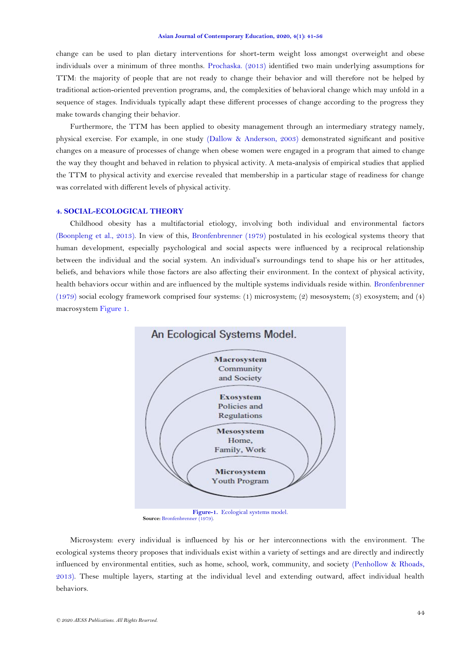change can be used to plan dietary interventions for short-term weight loss amongst overweight and obese individuals over a minimum of three months. [Prochaska. \(2013\)](#page-15-7) identified two main underlying assumptions for TTM: the majority of people that are not ready to change their behavior and will therefore not be helped by traditional action-oriented prevention programs, and, the complexities of behavioral change which may unfold in a sequence of stages. Individuals typically adapt these different processes of change according to the progress they make towards changing their behavior.

Furthermore, the TTM has been applied to obesity management through an intermediary strategy namely, physical exercise. For example, in one study [\(Dallow & Anderson, 2003\)](#page-14-5) demonstrated significant and positive changes on a measure of processes of change when obese women were engaged in a program that aimed to change the way they thought and behaved in relation to physical activity. A meta-analysis of empirical studies that applied the TTM to physical activity and exercise revealed that membership in a particular stage of readiness for change was correlated with different levels of physical activity.

# **4. SOCIAL-ECOLOGICAL THEORY**

Childhood obesity has a multifactorial etiology, involving both individual and environmental factors [\(Boonpleng et al., 2013\)](#page-14-6). In view of this, [Bronfenbrenner \(1979\)](#page-14-7) postulated in his ecological systems theory that human development, especially psychological and social aspects were influenced by a reciprocal relationship between the individual and the social system. An individual"s surroundings tend to shape his or her attitudes, beliefs, and behaviors while those factors are also affecting their environment. In the context of physical activity, health behaviors occur within and are influenced by the multiple systems individuals reside within. [Bronfenbrenner](#page-14-7)  [\(1979\)](#page-14-7) social ecology framework comprised four systems: (1) microsystem; (2) mesosystem; (3) exosystem; and (4) macrosystem [Figure 1.](#page-3-0)



 **Source:** [Bronfenbrenner \(1979\)](#page-14-7).

<span id="page-3-0"></span>Microsystem: every individual is influenced by his or her interconnections with the environment. The ecological systems theory proposes that individuals exist within a variety of settings and are directly and indirectly influenced by environmental entities, such as home, school, work, community, and society [\(Penhollow & Rhoads,](#page-15-8)  [2013\)](#page-15-8). These multiple layers, starting at the individual level and extending outward, affect individual health behaviors.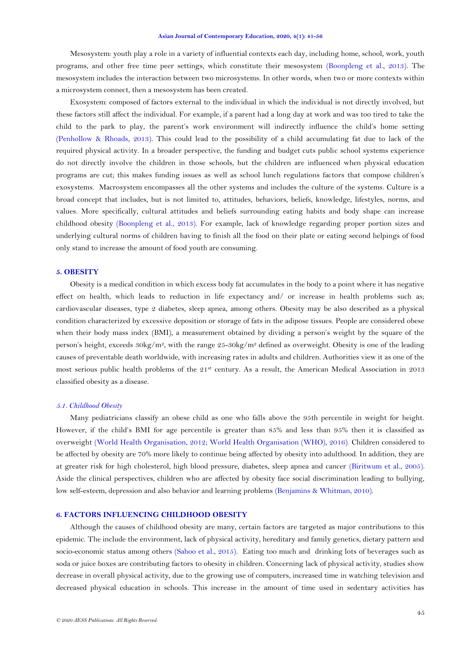Mesosystem: youth play a role in a variety of influential contexts each day, including home, school, work, youth programs, and other free time peer settings, which constitute their mesosystem [\(Boonpleng et al., 2013\)](#page-14-6). The mesosystem includes the interaction between two microsystems. In other words, when two or more contexts within a microsystem connect, then a mesosystem has been created.

Exosystem: composed of factors external to the individual in which the individual is not directly involved, but these factors still affect the individual. For example, if a parent had a long day at work and was too tired to take the child to the park to play, the parent's work environment will indirectly influence the child's home setting [\(Penhollow & Rhoads, 2013\)](#page-15-8). This could lead to the possibility of a child accumulating fat due to lack of the required physical activity. In a broader perspective, the funding and budget cuts public school systems experience do not directly involve the children in those schools, but the children are influenced when physical education programs are cut; this makes funding issues as well as school lunch regulations factors that compose children"s exosystems. Macrosystem encompasses all the other systems and includes the culture of the systems. Culture is a broad concept that includes, but is not limited to, attitudes, behaviors, beliefs, knowledge, lifestyles, norms, and values. More specifically, cultural attitudes and beliefs surrounding eating habits and body shape can increase childhood obesity [\(Boonpleng et al., 2013\)](#page-14-6). For example, lack of knowledge regarding proper portion sizes and underlying cultural norms of children having to finish all the food on their plate or eating second helpings of food only stand to increase the amount of food youth are consuming.

## **5. OBESITY**

Obesity is a medical condition in which excess body fat accumulates in the body to a point where it has negative effect on health, which leads to reduction in life expectancy and/ or increase in health problems such as; cardiovascular diseases, type 2 diabetes, sleep apnea, among others. Obesity may be also described as a physical condition characterized by excessive deposition or storage of fats in the adipose tissues. People are considered obese when their body mass index (BMI), a measurement obtained by dividing a person's weight by the square of the person's height, exceeds 30kg/m<sup>2</sup>, with the range 25-30kg/m<sup>2</sup> defined as overweight. Obesity is one of the leading causes of preventable death worldwide, with increasing rates in adults and children. Authorities view it as one of the most serious public health problems of the 21st century. As a result, the American Medical Association in 2013 classified obesity as a disease.

#### *5.1. Childhood Obesity*

Many pediatricians classify an obese child as one who falls above the 95th percentile in weight for height. However, if the child"s BMI for age percentile is greater than 85% and less than 95% then it is classified as overweight [\(World Health Organisation, 2012;](#page-15-0) [World Health Organisation \(WHO\), 2016\)](#page-15-9). Children considered to be affected by obesity are 70% more likely to continue being affected by obesity into adulthood. In addition, they are at greater risk for high cholesterol, high blood pressure, diabetes, sleep apnea and cancer [\(Biritwum et al., 2005\)](#page-13-0). Aside the clinical perspectives, children who are affected by obesity face social discrimination leading to bullying, low self-esteem, depression and also behavior and learning problems [\(Benjamins & Whitman, 2010\)](#page-13-2).

## **6. FACTORS INFLUENCING CHILDHOOD OBESITY**

Although the causes of childhood obesity are many, certain factors are targeted as major contributions to this epidemic. The include the environment, lack of physical activity, hereditary and family genetics, dietary pattern and socio-economic status among others [\(Sahoo et al., 2015\)](#page-15-10). Eating too much and drinking lots of beverages such as soda or juice boxes are contributing factors to obesity in children. Concerning lack of physical activity, studies show decrease in overall physical activity, due to the growing use of computers, increased time in watching television and decreased physical education in schools. This increase in the amount of time used in sedentary activities has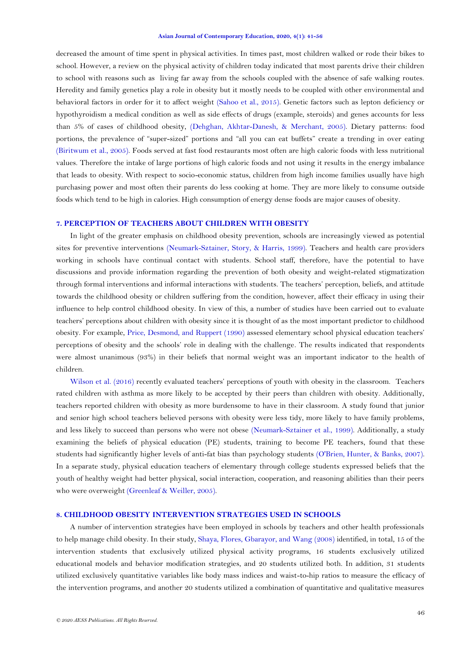decreased the amount of time spent in physical activities. In times past, most children walked or rode their bikes to school. However, a review on the physical activity of children today indicated that most parents drive their children to school with reasons such as living far away from the schools coupled with the absence of safe walking routes. Heredity and family genetics play a role in obesity but it mostly needs to be coupled with other environmental and behavioral factors in order for it to affect weight [\(Sahoo et al., 2015\)](#page-15-10). Genetic factors such as lepton deficiency or hypothyroidism a medical condition as well as side effects of drugs (example, steroids) and genes accounts for less than 5% of cases of childhood obesity, [\(Dehghan, Akhtar-Danesh, & Merchant, 2005\)](#page-14-8). Dietary patterns: food portions, the prevalence of "super-sized" portions and "all you can eat buffets" create a trending in over eating [\(Biritwum et al., 2005\)](#page-13-0). Foods served at fast food restaurants most often are high caloric foods with less nutritional values. Therefore the intake of large portions of high caloric foods and not using it results in the energy imbalance that leads to obesity. With respect to socio-economic status, children from high income families usually have high purchasing power and most often their parents do less cooking at home. They are more likely to consume outside foods which tend to be high in calories. High consumption of energy dense foods are major causes of obesity.

### **7. PERCEPTION OF TEACHERS ABOUT CHILDREN WITH OBESITY**

In light of the greater emphasis on childhood obesity prevention, schools are increasingly viewed as potential sites for preventive interventions [\(Neumark-Sztainer, Story, & Harris, 1999\)](#page-15-11). Teachers and health care providers working in schools have continual contact with students. School staff, therefore, have the potential to have discussions and provide information regarding the prevention of both obesity and weight-related stigmatization through formal interventions and informal interactions with students. The teachers" perception, beliefs, and attitude towards the childhood obesity or children suffering from the condition, however, affect their efficacy in using their influence to help control childhood obesity. In view of this, a number of studies have been carried out to evaluate teachers" perceptions about children with obesity since it is thought of as the most important predictor to childhood obesity. For example, [Price, Desmond, and Ruppert \(1990\)](#page-15-12) assessed elementary school physical education teachers" perceptions of obesity and the schools" role in dealing with the challenge. The results indicated that respondents were almost unanimous (93%) in their beliefs that normal weight was an important indicator to the health of children.

[Wilson et al. \(2016\)](#page-15-13) recently evaluated teachers' perceptions of youth with obesity in the classroom. Teachers rated children with asthma as more likely to be accepted by their peers than children with obesity. Additionally, teachers reported children with obesity as more burdensome to have in their classroom. A study found that junior and senior high school teachers believed persons with obesity were less tidy, more likely to have family problems, and less likely to succeed than persons who were not obese [\(Neumark-Sztainer et al., 1999\)](#page-15-11). Additionally, a study examining the beliefs of physical education (PE) students, training to become PE teachers, found that these students had significantly higher levels of anti-fat bias than psychology students [\(O'Brien, Hunter, & Banks, 2007\)](#page-15-14). In a separate study, physical education teachers of elementary through college students expressed beliefs that the youth of healthy weight had better physical, social interaction, cooperation, and reasoning abilities than their peers who were overweight [\(Greenleaf & Weiller, 2005\)](#page-14-9).

## **8. CHILDHOOD OBESITY INTERVENTION STRATEGIES USED IN SCHOOLS**

A number of intervention strategies have been employed in schools by teachers and other health professionals to help manage child obesity. In their study, [Shaya, Flores, Gbarayor, and Wang \(2008\)](#page-15-15) identified, in total, 15 of the intervention students that exclusively utilized physical activity programs, 16 students exclusively utilized educational models and behavior modification strategies, and 20 students utilized both. In addition, 31 students utilized exclusively quantitative variables like body mass indices and waist-to-hip ratios to measure the efficacy of the intervention programs, and another 20 students utilized a combination of quantitative and qualitative measures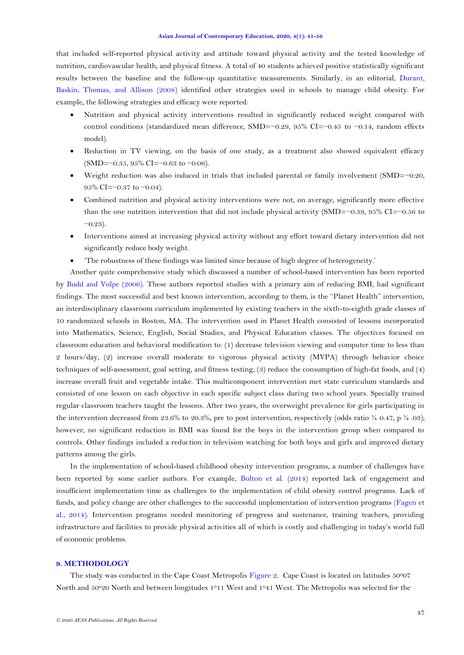that included self-reported physical activity and attitude toward physical activity and the tested knowledge of nutrition, cardiovascular health, and physical fitness. A total of 40 students achieved positive statistically significant results between the baseline and the follow-up quantitative measurements. Similarly, in an editorial, [Durant,](#page-14-10)  [Baskin, Thomas, and Allison \(2008\)](#page-14-10) identified other strategies used in schools to manage child obesity. For example, the following strategies and efficacy were reported:

- Nutrition and physical activity interventions resulted in significantly reduced weight compared with control conditions (standardized mean difference, SMD=−0.29, 95% CI=−0.45 to −0.14, random effects model).
- Reduction in TV viewing, on the basis of one study, as a treatment also showed equivalent efficacy (SMD=−0.35, 95% CI=−0.63 to −0.06).
- Weight reduction was also induced in trials that included parental or family involvement (SMD=−0.20, 95% CI=−0.37 to −0.04).
- Combined nutrition and physical activity interventions were not, on average, significantly more effective than the one nutrition intervention that did not include physical activity (SMD=−0.39, 95% CI=−0.56 to  $-0.23$ ).
- Interventions aimed at increasing physical activity without any effort toward dietary intervention did not significantly reduce body weight.
- "The robustness of these findings was limited since because of high degree of heterogeneity."

Another quite comprehensive study which discussed a number of school-based intervention has been reported by [Budd and Volpe \(2006\)](#page-14-1). These authors reported studies with a primary aim of reducing BMI, had significant findings. The most successful and best known intervention, according to them, is the "Planet Health" intervention, an interdisciplinary classroom curriculum implemented by existing teachers in the sixth-to-eighth grade classes of 10 randomized schools in Boston, MA. The intervention used in Planet Health consisted of lessons incorporated into Mathematics, Science, English, Social Studies, and Physical Education classes. The objectives focused on classroom education and behavioral modification to: (1) decrease television viewing and computer time to less than 2 hours/day, (2) increase overall moderate to vigorous physical activity (MVPA) through behavior choice techniques of self-assessment, goal setting, and fitness testing, (3) reduce the consumption of high-fat foods, and (4) increase overall fruit and vegetable intake. This multicomponent intervention met state curriculum standards and consisted of one lesson on each objective in each specific subject class during two school years. Specially trained regular classroom teachers taught the lessons. After two years, the overweight prevalence for girls participating in the intervention decreased from 23.6% to 20.3%, pre to post intervention, respectively (odds ratio  $\frac{1}{4}$  0.47, p  $\frac{1}{4}$  .03); however, no significant reduction in BMI was found for the boys in the intervention group when compared to controls. Other findings included a reduction in television watching for both boys and girls and improved dietary patterns among the girls.

In the implementation of school-based childhood obesity intervention programs, a number of challenges have been reported by some earlier authors. For example, [Bolton et al. \(2014\)](#page-13-4) reported lack of engagement and insufficient implementation time as challenges to the implementation of child obesity control programs. Lack of funds, and policy change are other challenges to the successful implementation of intervention programs [\(Fagen et](#page-14-11)  [al., 2014\)](#page-14-11). Intervention programs needed monitoring of progress and sustenance, training teachers, providing infrastructure and facilities to provide physical activities all of which is costly and challenging in today"s world full of economic problems.

#### **9. METHODOLOGY**

The study was conducted in the Cape Coast Metropolis [Figure 2.](#page-7-0) Cape Coast is located on latitudes 50°07 North and 50°20 North and between longitudes 1°11 West and 1°41 West. The Metropolis was selected for the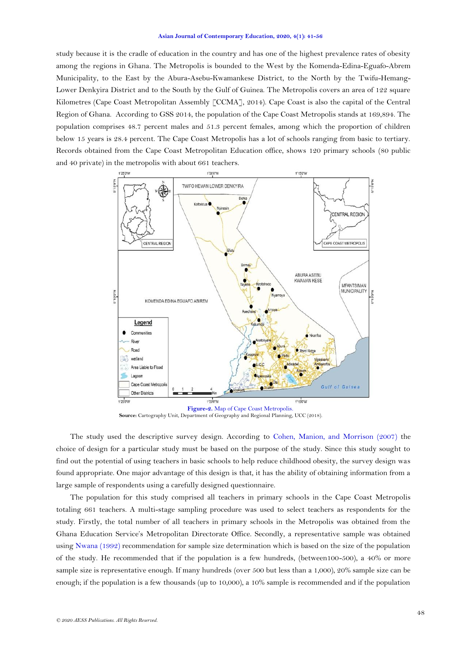study because it is the cradle of education in the country and has one of the highest prevalence rates of obesity among the regions in Ghana*.* The Metropolis is bounded to the West by the Komenda-Edina-Eguafo-Abrem Municipality, to the East by the Abura-Asebu-Kwamankese District, to the North by the Twifu-Hemang-Lower Denkyira District and to the South by the Gulf of Guinea. The Metropolis covers an area of 122 square Kilometres (Cape Coast Metropolitan Assembly [CCMA], 2014). Cape Coast is also the capital of the Central Region of Ghana. According to GSS 2014, the population of the Cape Coast Metropolis stands at 169,894. The population comprises 48.7 percent males and 51.3 percent females, among which the proportion of children below 15 years is 28.4 percent. The Cape Coast Metropolis has a lot of schools ranging from basic to tertiary. Records obtained from the Cape Coast Metropolitan Education office, shows 120 primary schools (80 public and 40 private) in the metropolis with about 661 teachers.



**Source:** Cartography Unit, Department of Geography and Regional Planning, UCC (2018).

<span id="page-7-0"></span>The study used the descriptive survey design. According to [Cohen, Manion, and Morrison \(2007\)](#page-14-12) the choice of design for a particular study must be based on the purpose of the study. Since this study sought to find out the potential of using teachers in basic schools to help reduce childhood obesity, the survey design was found appropriate. One major advantage of this design is that, it has the ability of obtaining information from a large sample of respondents using a carefully designed questionnaire.

The population for this study comprised all teachers in primary schools in the Cape Coast Metropolis totaling 661 teachers. A multi-stage sampling procedure was used to select teachers as respondents for the study. Firstly, the total number of all teachers in primary schools in the Metropolis was obtained from the Ghana Education Service"s Metropolitan Directorate Office. Secondly, a representative sample was obtained using [Nwana \(1992\)](#page-15-16) recommendation for sample size determination which is based on the size of the population of the study. He recommended that if the population is a few hundreds, (between100-500), a 40% or more sample size is representative enough. If many hundreds (over 500 but less than a 1,000), 20% sample size can be enough; if the population is a few thousands (up to 10,000), a 10% sample is recommended and if the population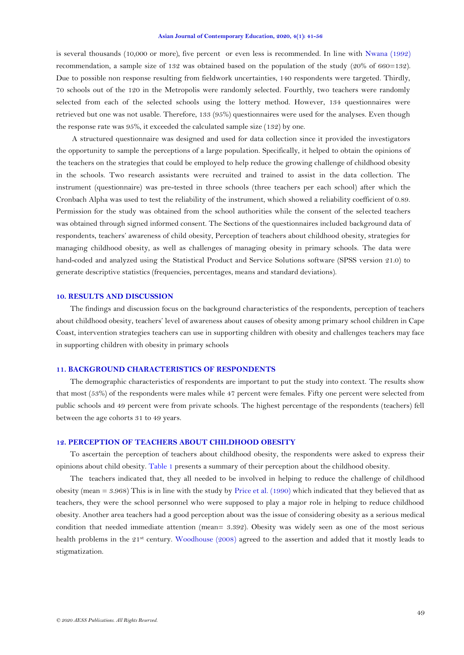is several thousands (10,000 or more), five percent or even less is recommended. In line with [Nwana \(1992\)](#page-15-16) recommendation, a sample size of 132 was obtained based on the population of the study (20% of 660=132). Due to possible non response resulting from fieldwork uncertainties, 140 respondents were targeted. Thirdly, 70 schools out of the 120 in the Metropolis were randomly selected. Fourthly, two teachers were randomly selected from each of the selected schools using the lottery method. However, 134 questionnaires were retrieved but one was not usable. Therefore, 133 (95%) questionnaires were used for the analyses. Even though the response rate was 95%, it exceeded the calculated sample size (132) by one.

A structured questionnaire was designed and used for data collection since it provided the investigators the opportunity to sample the perceptions of a large population. Specifically, it helped to obtain the opinions of the teachers on the strategies that could be employed to help reduce the growing challenge of childhood obesity in the schools. Two research assistants were recruited and trained to assist in the data collection. The instrument (questionnaire) was pre-tested in three schools (three teachers per each school) after which the Cronbach Alpha was used to test the reliability of the instrument, which showed a reliability coefficient of 0.89. Permission for the study was obtained from the school authorities while the consent of the selected teachers was obtained through signed informed consent. The Sections of the questionnaires included background data of respondents, teachers" awareness of child obesity, Perception of teachers about childhood obesity, strategies for managing childhood obesity, as well as challenges of managing obesity in primary schools. The data were hand-coded and analyzed using the Statistical Product and Service Solutions software (SPSS version 21.0) to generate descriptive statistics (frequencies, percentages, means and standard deviations).

## **10. RESULTS AND DISCUSSION**

The findings and discussion focus on the background characteristics of the respondents, perception of teachers about childhood obesity, teachers" level of awareness about causes of obesity among primary school children in Cape Coast, intervention strategies teachers can use in supporting children with obesity and challenges teachers may face in supporting children with obesity in primary schools

#### **11. BACKGROUND CHARACTERISTICS OF RESPONDENTS**

The demographic characteristics of respondents are important to put the study into context. The results show that most (53%) of the respondents were males while 47 percent were females. Fifty one percent were selected from public schools and 49 percent were from private schools. The highest percentage of the respondents (teachers) fell between the age cohorts 31 to 49 years.

### **12. PERCEPTION OF TEACHERS ABOUT CHILDHOOD OBESITY**

To ascertain the perception of teachers about childhood obesity, the respondents were asked to express their opinions about child obesity. [Table 1](#page-8-0) presents a summary of their perception about the childhood obesity.

<span id="page-8-0"></span>The teachers indicated that, they all needed to be involved in helping to reduce the challenge of childhood obesity (mean = 3.968) This is in line with the study by [Price et al. \(1990\)](#page-15-12) which indicated that they believed that as teachers, they were the school personnel who were supposed to play a major role in helping to reduce childhood obesity. Another area teachers had a good perception about was the issue of considering obesity as a serious medical condition that needed immediate attention (mean= 3.392). Obesity was widely seen as one of the most serious health problems in the 21<sup>st</sup> century. [Woodhouse \(2008\)](#page-15-17) agreed to the assertion and added that it mostly leads to stigmatization.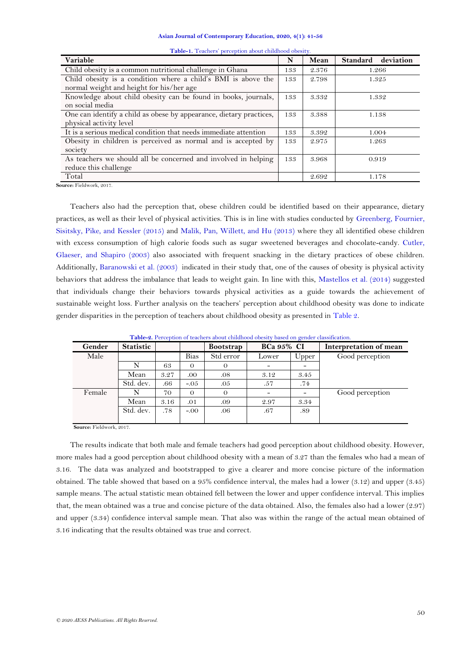| Asian Journal of Contemporary Education, 2020, 4(1): 41-56 |  |  |  |  |
|------------------------------------------------------------|--|--|--|--|
|------------------------------------------------------------|--|--|--|--|

| Variable                                                                                                  | N   | Mean  | Standard deviation |
|-----------------------------------------------------------------------------------------------------------|-----|-------|--------------------|
| Child obesity is a common nutritional challenge in Ghana                                                  | 133 | 2.376 | 1.266              |
| Child obesity is a condition where a child's BMI is above the<br>normal weight and height for his/her age | 133 | 2.798 | 1.325              |
| Knowledge about child obesity can be found in books, journals,<br>on social media                         | 133 | 3.332 | 1.332              |
| One can identify a child as obese by appearance, dietary practices,<br>physical activity level            | 133 | 3.388 | 1.138              |
| It is a serious medical condition that needs immediate attention                                          | 133 | 3.392 | 1.004              |
| Obesity in children is perceived as normal and is accepted by<br>society                                  | 133 | 2.975 | 1.263              |
| As teachers we should all be concerned and involved in helping<br>reduce this challenge                   | 133 | 3.968 | 0.919              |
| Total<br>$12.11 - 1.001$                                                                                  |     | 2.692 | 1.178              |

| Table-1. Teachers' perception about childhood obesity. |  |  |
|--------------------------------------------------------|--|--|
|                                                        |  |  |

**Source:** Fieldwork, 2017.

Teachers also had the perception that, obese children could be identified based on their appearance, dietary practices, as well as their level of physical activities. This is in line with studies conducted by [Greenberg, Fournier,](#page-14-13)  [Sisitsky, Pike, and Kessler \(2015\)](#page-14-13) and [Malik, Pan, Willett, and Hu \(2013\)](#page-14-14) where they all identified obese children with excess consumption of high calorie foods such as sugar sweetened beverages and chocolate-candy. [Cutler,](#page-14-15)  [Glaeser, and Shapiro \(2003\)](#page-14-15) also associated with frequent snacking in the dietary practices of obese children. Additionally, [Baranowski et al. \(2003\)](#page-13-3) indicated in their study that, one of the causes of obesity is physical activity behaviors that address the imbalance that leads to weight gain. In line with this, [Mastellos et al. \(2014\)](#page-14-4) suggested that individuals change their behaviors towards physical activities as a guide towards the achievement of sustainable weight loss. Further analysis on the teachers" perception about childhood obesity was done to indicate gender disparities in the perception of teachers about childhood obesity as presented in [Table 2.](#page-9-0)

<span id="page-9-0"></span>

| <b>Table 2.</b> I creeption of teachers about emighood obesity based on genuer classification. |                  |      |         |                  |                   |       |                        |
|------------------------------------------------------------------------------------------------|------------------|------|---------|------------------|-------------------|-------|------------------------|
| Gender                                                                                         | <b>Statistic</b> |      |         | <b>Bootstrap</b> | <b>BCa 95% CI</b> |       | Interpretation of mean |
| Male                                                                                           |                  |      | Bias    | Std error        | Lower             | Upper | Good perception        |
|                                                                                                |                  | 63   |         | $\theta$         |                   |       |                        |
|                                                                                                | Mean             | 3.27 | .00     | .08              | 3.12              | 3.45  |                        |
|                                                                                                | Std. dev.        | .66  | $-.05$  | .05              | .57               | .74   |                        |
| Female                                                                                         | N                | 70   | O       | $\Omega$         |                   |       | Good perception        |
|                                                                                                | Mean             | 3.16 | .01     | .09              | 2.97              | 3.34  |                        |
|                                                                                                | Std. dev.        | .78  | $-.00.$ | .06              | .67               | .89   |                        |
|                                                                                                |                  |      |         |                  |                   |       |                        |

**Table-2.** Perception of teachers about childhood obesity based on gender classification.

**Source:** Fieldwork, 2017.

The results indicate that both male and female teachers had good perception about childhood obesity. However, more males had a good perception about childhood obesity with a mean of 3.27 than the females who had a mean of 3.16. The data was analyzed and bootstrapped to give a clearer and more concise picture of the information obtained. The table showed that based on a 95% confidence interval, the males had a lower (3.12) and upper (3.45) sample means. The actual statistic mean obtained fell between the lower and upper confidence interval. This implies that, the mean obtained was a true and concise picture of the data obtained. Also, the females also had a lower (2.97) and upper (3.34) confidence interval sample mean. That also was within the range of the actual mean obtained of 3.16 indicating that the results obtained was true and correct.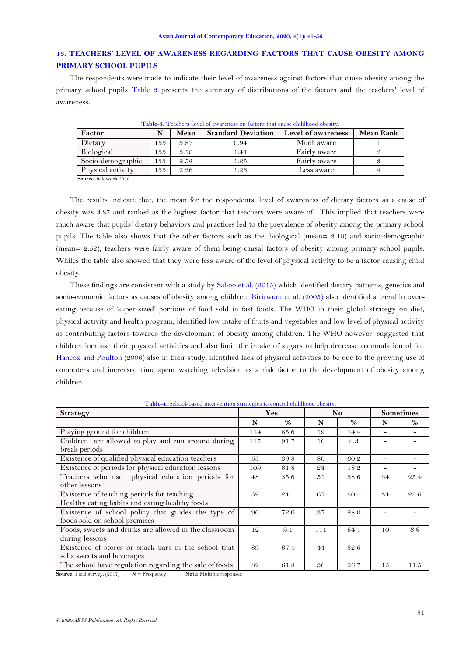# **13. TEACHERS' LEVEL OF AWARENESS REGARDING FACTORS THAT CAUSE OBESITY AMONG PRIMARY SCHOOL PUPILS**

The respondents were made to indicate their level of awareness against factors that cause obesity among the primary school pupils [Table 3](#page-10-0) presents the summary of distributions of the factors and the teachers' level of awareness.

<span id="page-10-0"></span>

| <b>Table-9.</b> Teachers tever of awareness on factors that cause childhood obesity. |  |  |  |  |  |  |  |
|--------------------------------------------------------------------------------------|--|--|--|--|--|--|--|
| <b>Mean Rank</b>                                                                     |  |  |  |  |  |  |  |
|                                                                                      |  |  |  |  |  |  |  |
|                                                                                      |  |  |  |  |  |  |  |
|                                                                                      |  |  |  |  |  |  |  |
|                                                                                      |  |  |  |  |  |  |  |
|                                                                                      |  |  |  |  |  |  |  |

**Table-3.** Teachers" level of awareness on factors that cause childhood obesity.

**Source:** fieldwork 2018.

The results indicate that, the mean for the respondents' level of awareness of dietary factors as a cause of obesity was 3.87 and ranked as the highest factor that teachers were aware of. This implied that teachers were much aware that pupils" dietary behaviors and practices led to the prevalence of obesity among the primary school pupils. The table also shows that the other factors such as the; biological (mean= 3.10) and socio-demographic (mean= 2.52), teachers were fairly aware of them being causal factors of obesity among primary school pupils. Whiles the table also showed that they were less aware of the level of physical activity to be a factor causing child obesity.

These findings are consistent with a study by [Sahoo et al. \(2015\)](#page-15-10) which identified dietary patterns, genetics and socio-economic factors as causes of obesity among children. [Biritwum et al. \(2005\)](#page-13-0) also identified a trend in overeating because of "super-sized" portions of food sold in fast foods. The WHO in their global strategy on diet, physical activity and health program, identified low intake of fruits and vegetables and low level of physical activity as contributing factors towards the development of obesity among children. The WHO however, suggested that children increase their physical activities and also limit the intake of sugars to help decrease accumulation of fat. [Hancox and Poulton \(2006\)](#page-14-16) also in their study, identified lack of physical activities to be due to the growing use of computers and increased time spent watching television as a risk factor to the development of obesity among children.

<span id="page-10-1"></span>

| <b>Strategy</b>                                        |     | Yes  | N <sub>o</sub> |      | <b>Sometimes</b> |      |
|--------------------------------------------------------|-----|------|----------------|------|------------------|------|
|                                                        | N   | $\%$ | N              | $\%$ | N                | %    |
| Playing ground for children                            | 114 | 85.6 | 19             | 14.4 |                  |      |
| Children are allowed to play and run around during     | 117 | 91.7 | 16             | 8.3  |                  |      |
| break periods                                          |     |      |                |      |                  |      |
| Existence of qualified physical education teachers     | 53  | 39.8 | 80             | 60.2 |                  |      |
| Existence of periods for physical education lessons    | 109 | 81.8 | 24             | 18.2 |                  |      |
| Teachers who use physical education periods for        | 48  | 35.6 | 51             | 38.6 | 34               | 25.4 |
| other lessons                                          |     |      |                |      |                  |      |
| Existence of teaching periods for teaching             | 32  | 24.1 | 67             | 50.4 | 34               | 25.6 |
| Healthy eating habits and eating healthy foods         |     |      |                |      |                  |      |
| Existence of school policy that guides the type of     |     | 72.0 | 37             | 28.0 |                  |      |
| foods sold on school premises                          |     |      |                |      |                  |      |
| Foods, sweets and drinks are allowed in the classroom  | 12  | 9.1  | 111            | 84.1 | 10               | 6.8  |
| during lessons                                         |     |      |                |      |                  |      |
| Existence of stores or snack bars in the school that   | 89  | 67.4 | 44             | 32.6 |                  |      |
| sells sweets and beverages                             |     |      |                |      |                  |      |
| The school have regulation regarding the sale of foods | 82  | 61.8 | 36             | 26.7 | 15               | 11.5 |

**Table-4.** School-based intervention strategies to control childhood obesity.

**Source:** Field survey,  $(2017)$   $N =$  Frequency **Note:** Multiple responses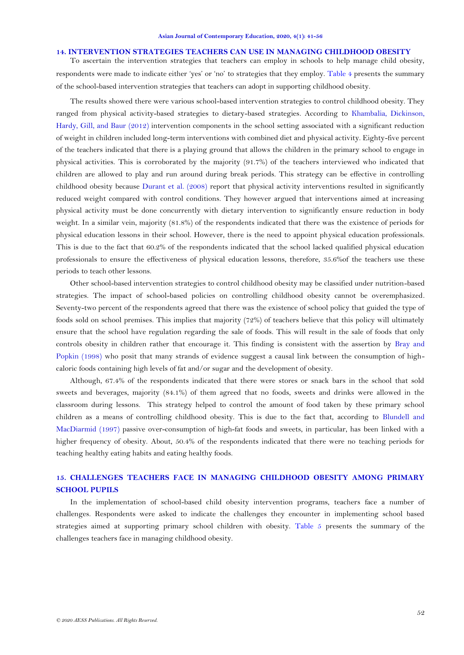#### **14. INTERVENTION STRATEGIES TEACHERS CAN USE IN MANAGING CHILDHOOD OBESITY**

To ascertain the intervention strategies that teachers can employ in schools to help manage child obesity, respondents were made to indicate either "yes" or "no" to strategies that they employ. [Table 4](#page-10-1) presents the summary of the school-based intervention strategies that teachers can adopt in supporting childhood obesity.

The results showed there were various school-based intervention strategies to control childhood obesity. They ranged from physical activity-based strategies to dietary-based strategies. According to [Khambalia, Dickinson,](#page-14-17)  [Hardy, Gill, and Baur \(2012\)](#page-14-17) intervention components in the school setting associated with a significant reduction of weight in children included long-term interventions with combined diet and physical activity. Eighty-five percent of the teachers indicated that there is a playing ground that allows the children in the primary school to engage in physical activities. This is corroborated by the majority (91.7%) of the teachers interviewed who indicated that children are allowed to play and run around during break periods. This strategy can be effective in controlling childhood obesity because [Durant et al. \(2008\)](#page-14-10) report that physical activity interventions resulted in significantly reduced weight compared with control conditions. They however argued that interventions aimed at increasing physical activity must be done concurrently with dietary intervention to significantly ensure reduction in body weight. In a similar vein, majority (81.8%) of the respondents indicated that there was the existence of periods for physical education lessons in their school. However, there is the need to appoint physical education professionals. This is due to the fact that 60.2% of the respondents indicated that the school lacked qualified physical education professionals to ensure the effectiveness of physical education lessons, therefore, 35.6%of the teachers use these periods to teach other lessons.

Other school-based intervention strategies to control childhood obesity may be classified under nutrition-based strategies. The impact of school-based policies on controlling childhood obesity cannot be overemphasized. Seventy-two percent of the respondents agreed that there was the existence of school policy that guided the type of foods sold on school premises. This implies that majority (72%) of teachers believe that this policy will ultimately ensure that the school have regulation regarding the sale of foods. This will result in the sale of foods that only controls obesity in children rather that encourage it. This finding is consistent with the assertion by [Bray and](#page-14-18)  [Popkin \(1998\)](#page-14-18) who posit that many strands of evidence suggest a causal link between the consumption of highcaloric foods containing high levels of fat and/or sugar and the development of obesity.

Although, 67.4% of the respondents indicated that there were stores or snack bars in the school that sold sweets and beverages, majority (84.1%) of them agreed that no foods, sweets and drinks were allowed in the classroom during lessons. This strategy helped to control the amount of food taken by these primary school children as a means of controlling childhood obesity. This is due to the fact that, according to [Blundell and](#page-13-5)  [MacDiarmid \(1997\)](#page-13-5) passive over-consumption of high-fat foods and sweets, in particular, has been linked with a higher frequency of obesity. About, 50.4% of the respondents indicated that there were no teaching periods for teaching healthy eating habits and eating healthy foods.

# **15. CHALLENGES TEACHERS FACE IN MANAGING CHILDHOOD OBESITY AMONG PRIMARY SCHOOL PUPILS**

In the implementation of school-based child obesity intervention programs, teachers face a number of challenges. Respondents were asked to indicate the challenges they encounter in implementing school based strategies aimed at supporting primary school children with obesity. [Table 5](#page-12-0) presents the summary of the challenges teachers face in managing childhood obesity.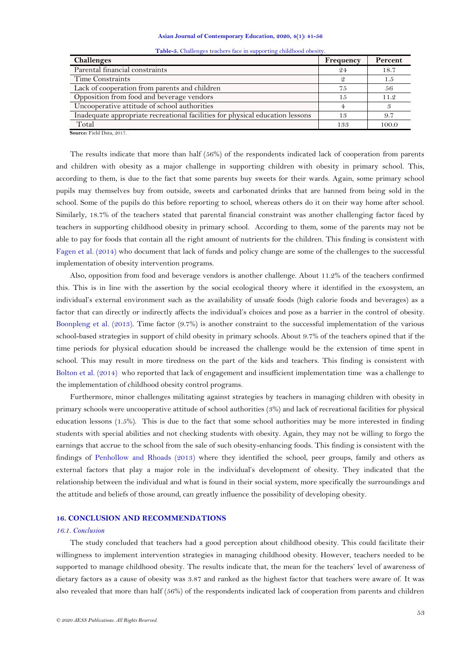<span id="page-12-0"></span>

| <b>Challenges</b>                                                             | Frequency | Percent |
|-------------------------------------------------------------------------------|-----------|---------|
| Parental financial constraints                                                | 24        | 18.7    |
| Time Constraints                                                              |           | 1.5     |
| Lack of cooperation from parents and children                                 | 75        | 56      |
| Opposition from food and beverage vendors                                     | 15        | 11.2    |
| Uncooperative attitude of school authorities                                  |           | 3       |
| Inadequate appropriate recreational facilities for physical education lessons | 13        | 9.7     |
| Total                                                                         | 133       | 100.0   |

**Table-5.** Challenges teachers face in supporting childhood obesity.

**Source:** Field Data, 2017.

The results indicate that more than half (56%) of the respondents indicated lack of cooperation from parents and children with obesity as a major challenge in supporting children with obesity in primary school. This, according to them, is due to the fact that some parents buy sweets for their wards. Again, some primary school pupils may themselves buy from outside, sweets and carbonated drinks that are banned from being sold in the school. Some of the pupils do this before reporting to school, whereas others do it on their way home after school. Similarly, 18.7% of the teachers stated that parental financial constraint was another challenging factor faced by teachers in supporting childhood obesity in primary school. According to them, some of the parents may not be able to pay for foods that contain all the right amount of nutrients for the children. This finding is consistent with [Fagen et al. \(2014\)](#page-14-11) who document that lack of funds and policy change are some of the challenges to the successful implementation of obesity intervention programs.

Also, opposition from food and beverage vendors is another challenge. About 11.2% of the teachers confirmed this. This is in line with the assertion by the social ecological theory where it identified in the exosystem, an individual"s external environment such as the availability of unsafe foods (high calorie foods and beverages) as a factor that can directly or indirectly affects the individual"s choices and pose as a barrier in the control of obesity. [Boonpleng et al. \(2013\)](#page-14-6). Time factor (9.7%) is another constraint to the successful implementation of the various school-based strategies in support of child obesity in primary schools. About 9.7% of the teachers opined that if the time periods for physical education should be increased the challenge would be the extension of time spent in school. This may result in more tiredness on the part of the kids and teachers. This finding is consistent with [Bolton et al. \(2014\)](#page-13-4) who reported that lack of engagement and insufficient implementation time was a challenge to the implementation of childhood obesity control programs.

Furthermore, minor challenges militating against strategies by teachers in managing children with obesity in primary schools were uncooperative attitude of school authorities (3%) and lack of recreational facilities for physical education lessons (1.5%). This is due to the fact that some school authorities may be more interested in finding students with special abilities and not checking students with obesity. Again, they may not be willing to forgo the earnings that accrue to the school from the sale of such obesity-enhancing foods. This finding is consistent with the findings of [Penhollow and Rhoads \(2013\)](#page-15-8) where they identified the school, peer groups, family and others as external factors that play a major role in the individual"s development of obesity. They indicated that the relationship between the individual and what is found in their social system, more specifically the surroundings and the attitude and beliefs of those around, can greatly influence the possibility of developing obesity.

# **16. CONCLUSION AND RECOMMENDATIONS**

## *16.1. Conclusion*

The study concluded that teachers had a good perception about childhood obesity. This could facilitate their willingness to implement intervention strategies in managing childhood obesity. However, teachers needed to be supported to manage childhood obesity. The results indicate that, the mean for the teachers" level of awareness of dietary factors as a cause of obesity was 3.87 and ranked as the highest factor that teachers were aware of. It was also revealed that more than half (56%) of the respondents indicated lack of cooperation from parents and children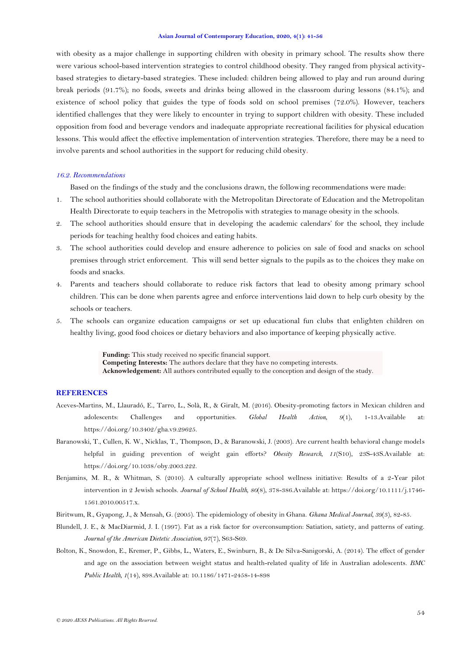with obesity as a major challenge in supporting children with obesity in primary school. The results show there were various school-based intervention strategies to control childhood obesity. They ranged from physical activitybased strategies to dietary-based strategies. These included: children being allowed to play and run around during break periods (91.7%); no foods, sweets and drinks being allowed in the classroom during lessons (84.1%); and existence of school policy that guides the type of foods sold on school premises (72.0%). However, teachers identified challenges that they were likely to encounter in trying to support children with obesity. These included opposition from food and beverage vendors and inadequate appropriate recreational facilities for physical education lessons. This would affect the effective implementation of intervention strategies. Therefore, there may be a need to involve parents and school authorities in the support for reducing child obesity.

#### *16.2. Recommendations*

Based on the findings of the study and the conclusions drawn, the following recommendations were made:

- 1. The school authorities should collaborate with the Metropolitan Directorate of Education and the Metropolitan Health Directorate to equip teachers in the Metropolis with strategies to manage obesity in the schools.
- 2. The school authorities should ensure that in developing the academic calendars" for the school, they include periods for teaching healthy food choices and eating habits.
- 3. The school authorities could develop and ensure adherence to policies on sale of food and snacks on school premises through strict enforcement. This will send better signals to the pupils as to the choices they make on foods and snacks.
- 4. Parents and teachers should collaborate to reduce risk factors that lead to obesity among primary school children. This can be done when parents agree and enforce interventions laid down to help curb obesity by the schools or teachers.
- 5. The schools can organize education campaigns or set up educational fun clubs that enlighten children on healthy living, good food choices or dietary behaviors and also importance of keeping physically active.

**Funding:** This study received no specific financial support. **Competing Interests:** The authors declare that they have no competing interests. **Acknowledgement:** All authors contributed equally to the conception and design of the study.

## **REFERENCES**

- <span id="page-13-1"></span>Aceves-Martins, M., Llauradó, E., Tarro, L., Solà, R., & Giralt, M. (2016). Obesity-promoting factors in Mexican children and adolescents: Challenges and opportunities. *Global Health Action, 9*(1), 1-13.Available at: https://doi.org/10.3402/gha.v9.29625.
- <span id="page-13-3"></span>Baranowski, T., Cullen, K. W., Nicklas, T., Thompson, D., & Baranowski, J. (2003). Are current health behavioral change models helpful in guiding prevention of weight gain efforts? *Obesity Research, 11*(S10), 23S-43S.Available at: https://doi.org/10.1038/oby.2003.222.
- <span id="page-13-2"></span>Benjamins, M. R., & Whitman, S. (2010). A culturally appropriate school wellness initiative: Results of a 2-Year pilot intervention in 2 Jewish schools. *Journal of School Health, 80*(8), 378-386.Available at: https://doi.org/10.1111/j.1746- 1561.2010.00517.x.
- <span id="page-13-0"></span>Biritwum, R., Gyapong, J., & Mensah, G. (2005). The epidemiology of obesity in Ghana. *Ghana Medical Journal, 39*(3), 82-85.
- <span id="page-13-5"></span>Blundell, J. E., & MacDiarmid, J. I. (1997). Fat as a risk factor for overconsumption: Satiation, satiety, and patterns of eating. *Journal of the American Dietetic Association, 97*(7), S63-S69.
- <span id="page-13-4"></span>Bolton, K., Snowdon, E., Kremer, P., Gibbs, L., Waters, E., Swinburn, B., & De Silva-Sanigorski, A. (2014). The effect of gender and age on the association between weight status and health-related quality of life in Australian adolescents. *BMC Public Health, 1*(14), 898.Available at: 10.1186/1471-2458-14-898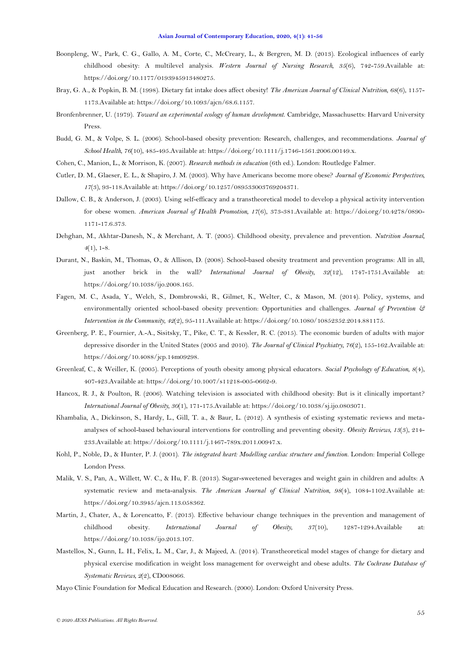- <span id="page-14-6"></span>Boonpleng, W., Park, C. G., Gallo, A. M., Corte, C., McCreary, L., & Bergren, M. D. (2013). Ecological influences of early childhood obesity: A multilevel analysis. *Western Journal of Nursing Research, 35*(6), 742-759.Available at: https://doi.org/10.1177/0193945913480275.
- <span id="page-14-18"></span>Bray, G. A., & Popkin, B. M. (1998). Dietary fat intake does affect obesity! *The American Journal of Clinical Nutrition, 68*(6), 1157- 1173.Available at: https://doi.org/10.1093/ajcn/68.6.1157.
- <span id="page-14-7"></span>Bronfenbrenner, U. (1979). *Toward an experimental ecology of human development*. Cambridge, Massachusetts: Harvard University Press.
- <span id="page-14-1"></span>Budd, G. M., & Volpe, S. L. (2006). School-based obesity prevention: Research, challenges, and recommendations. *Journal of School Health, 76*(10), 485-495.Available at: https://doi.org/10.1111/j.1746-1561.2006.00149.x.
- <span id="page-14-12"></span>Cohen, C., Manion, L., & Morrison, K. (2007). *Research methods in education* (6th ed.). London: Routledge Falmer.
- <span id="page-14-15"></span>Cutler, D. M., Glaeser, E. L., & Shapiro, J. M. (2003). Why have Americans become more obese? *Journal of Economic Perspectives, 17*(3), 93-118.Available at: https://doi.org/10.1257/089533003769204371.
- <span id="page-14-5"></span>Dallow, C. B., & Anderson, J. (2003). Using self-efficacy and a transtheoretical model to develop a physical activity intervention for obese women. *American Journal of Health Promotion, 17*(6), 373-381.Available at: https://doi.org/10.4278/0890- 1171-17.6.373.
- <span id="page-14-8"></span>Dehghan, M., Akhtar-Danesh, N., & Merchant, A. T. (2005). Childhood obesity, prevalence and prevention. *Nutrition Journal, 4*(1), 1-8.
- <span id="page-14-10"></span>Durant, N., Baskin, M., Thomas, O., & Allison, D. (2008). School-based obesity treatment and prevention programs: All in all, just another brick in the wall? *International Journal of Obesity, 32*(12), 1747-1751.Available at: https://doi.org/10.1038/ijo.2008.165.
- <span id="page-14-11"></span>Fagen, M. C., Asada, Y., Welch, S., Dombrowski, R., Gilmet, K., Welter, C., & Mason, M. (2014). Policy, systems, and environmentally oriented school-based obesity prevention: Opportunities and challenges. *Journal of Prevention & Intervention in the Community, 42*(2), 95-111.Available at: https://doi.org/10.1080/10852352.2014.881175.
- <span id="page-14-13"></span>Greenberg, P. E., Fournier, A.-A., Sisitsky, T., Pike, C. T., & Kessler, R. C. (2015). The economic burden of adults with major depressive disorder in the United States (2005 and 2010). *The Journal of Clinical Psychiatry, 76*(2), 155-162.Available at: https://doi.org/10.4088/jcp.14m09298.
- <span id="page-14-9"></span>Greenleaf, C., & Weiller, K. (2005). Perceptions of youth obesity among physical educators. *Social Psychology of Education, 8*(4), 407-423.Available at: https://doi.org/10.1007/s11218-005-0662-9.
- <span id="page-14-16"></span>Hancox, R. J., & Poulton, R. (2006). Watching television is associated with childhood obesity: But is it clinically important? *International Journal of Obesity, 30*(1), 171-175.Available at: https://doi.org/10.1038/sj.ijo.0803071.
- <span id="page-14-17"></span>Khambalia, A., Dickinson, S., Hardy, L., Gill, T. a., & Baur, L. (2012). A synthesis of existing systematic reviews and metaanalyses of school-based behavioural interventions for controlling and preventing obesity. *Obesity Reviews, 13*(3), 214- 233.Available at: https://doi.org/10.1111/j.1467-789x.2011.00947.x.
- <span id="page-14-2"></span>Kohl, P., Noble, D., & Hunter, P. J. (2001). *The integrated heart: Modelling cardiac structure and function*. London: Imperial College London Press.
- <span id="page-14-14"></span>Malik, V. S., Pan, A., Willett, W. C., & Hu, F. B. (2013). Sugar-sweetened beverages and weight gain in children and adults: A systematic review and meta-analysis. *The American Journal of Clinical Nutrition, 98*(4), 1084-1102.Available at: https://doi.org/10.3945/ajcn.113.058362.
- <span id="page-14-3"></span>Martin, J., Chater, A., & Lorencatto, F. (2013). Effective behaviour change techniques in the prevention and management of childhood obesity. *International Journal of Obesity, 37*(10), 1287-1294.Available at: https://doi.org/10.1038/ijo.2013.107.
- <span id="page-14-4"></span>Mastellos, N., Gunn, L. H., Felix, L. M., Car, J., & Majeed, A. (2014). Transtheoretical model stages of change for dietary and physical exercise modification in weight loss management for overweight and obese adults. *The Cochrane Database of Systematic Reviews, 2*(2), CD008066.
- <span id="page-14-0"></span>Mayo Clinic Foundation for Medical Education and Research. (2000). London: Oxford University Press.